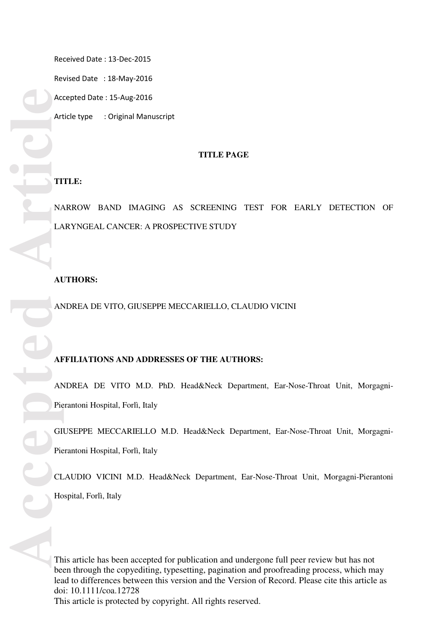Revised Date : 18-May-2016

Accepted Date : 15-Aug-2016

Article type : Original Manuscript

### **TITLE PAGE**

### **TITLE:**

NARROW BAND IMAGING AS SCREENING TEST FOR EARLY DETECTION OF LARYNGEAL CANCER: A PROSPECTIVE STUDY

### **AUTHORS:**

ANDREA DE VITO, GIUSEPPE MECCARIELLO, CLAUDIO VICINI

### **AFFILIATIONS AND ADDRESSES OF THE AUTHORS:**

ANDREA DE VITO M.D. PhD. Head&Neck Department, Ear-Nose-Throat Unit, Morgagni-Pierantoni Hospital, Forlì, Italy

GIUSEPPE MECCARIELLO M.D. Head&Neck Department, Ear-Nose-Throat Unit, Morgagni-Pierantoni Hospital, Forlì, Italy

CLAUDIO VICINI M.D. Head&Neck Department, Ear-Nose-Throat Unit, Morgagni-Pierantoni Hospital, Forlì, Italy

This article has been accepted for publication and undergone full peer review but has not been through the copyediting, typesetting, pagination and proofreading process, which may lead to differences between this version and the Version of Record. Please cite this article as doi: 10.1111/coa.12728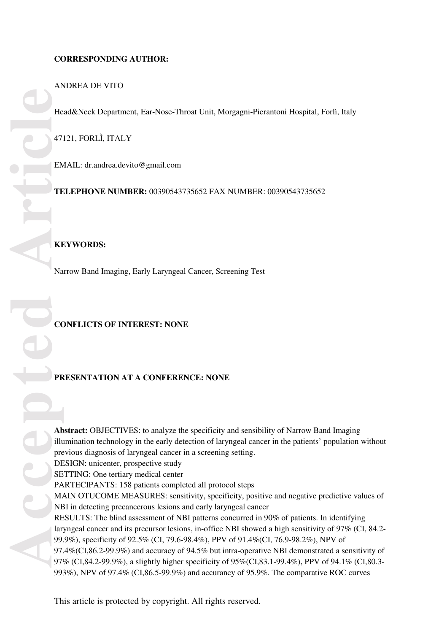# ANDREA DE VITO

Head&Neck Department, Ear-Nose-Throat Unit, Morgagni-Pierantoni Hospital, Forlì, Italy

47121, FORLÌ, ITALY

EMAIL: dr.andrea.devito@gmail.com

**TELEPHONE NUMBER:** 00390543735652 FAX NUMBER: 00390543735652

## **KEYWORDS:**

Narrow Band Imaging, Early Laryngeal Cancer, Screening Test

## **CONFLICTS OF INTEREST: NONE**

## **PRESENTATION AT A CONFERENCE: NONE**

**Abstract:** OBJECTIVES: to analyze the specificity and sensibility of Narrow Band Imaging illumination technology in the early detection of laryngeal cancer in the patients' population without previous diagnosis of laryngeal cancer in a screening setting. DESIGN: unicenter, prospective study SETTING: One tertiary medical center PARTECIPANTS: 158 patients completed all protocol steps MAIN OTUCOME MEASURES: sensitivity, specificity, positive and negative predictive values of NBI in detecting precancerous lesions and early laryngeal cancer RESULTS: The blind assessment of NBI patterns concurred in 90% of patients. In identifying laryngeal cancer and its precursor lesions, in-office NBI showed a high sensitivity of 97% (CI, 84.2- 99.9%), specificity of 92.5% (CI, 79.6-98.4%), PPV of 91.4%(CI, 76.9-98.2%), NPV of 97.4%(CI,86.2-99.9%) and accuracy of 94.5% but intra-operative NBI demonstrated a sensitivity of 97% (CI,84.2-99.9%), a slightly higher specificity of 95%(CI,83.1-99.4%), PPV of 94.1% (CI,80.3- 993%), NPV of 97.4% (CI,86.5-99.9%) and accurancy of 95.9%. The comparative ROC curves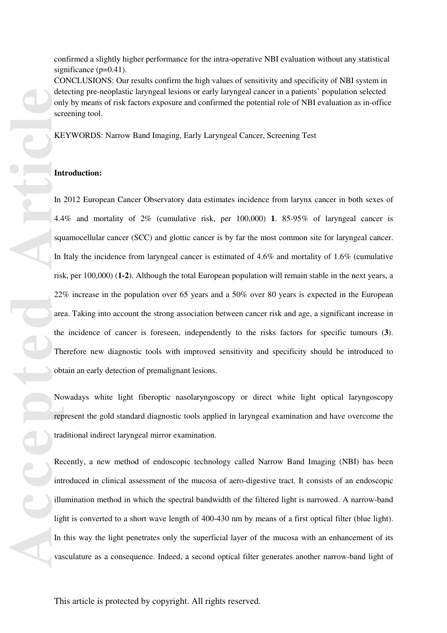confirmed a slightly higher performance for the intra-operative NBI evaluation without any statistical significance (p=0.41).

CONCLUSIONS: Our results confirm the high values of sensitivity and specificity of NBI system in detecting pre-neoplastic laryngeal lesions or early laryngeal cancer in a patients' population selected only by means of risk factors exposure and confirmed the potential role of NBI evaluation as in-office screening tool.

KEYWORDS: Narrow Band Imaging, Early Laryngeal Cancer, Screening Test

### **Introduction:**

In 2012 European Cancer Observatory data estimates incidence from larynx cancer in both sexes of 4.4% and mortality of 2% (cumulative risk, per 100,000) **1**. 85-95% of laryngeal cancer is squamocellular cancer (SCC) and glottic cancer is by far the most common site for laryngeal cancer. In Italy the incidence from laryngeal cancer is estimated of 4.6% and mortality of 1.6% (cumulative risk, per 100,000) (**1-2**). Although the total European population will remain stable in the next years, a 22% increase in the population over 65 years and a 50% over 80 years is expected in the European area. Taking into account the strong association between cancer risk and age, a significant increase in the incidence of cancer is foreseen, independently to the risks factors for specific tumours ( **3**). Therefore new diagnostic tools with improved sensitivity and specificity should be introduced to obtain an early detection of premalignant lesions.

Nowadays white light fiberoptic nasolaryngoscopy or direct white light optical laryngoscopy represent the gold standard diagnostic tools applied in laryngeal examination and have overcome the traditional indirect laryngeal mirror examination.

Recently, a new method of endoscopic technology called Narrow Band Imaging (NBI) has been introduced in clinical assessment of the mucosa of aero-digestive tract. It consists of an endoscopic illumination method in which the spectral bandwidth of the filtered light is narrowed. A narrow-band light is converted to a short wave length of 400-430 nm by means of a first optical filter (blue light). In this way the light penetrates only the superficial layer of the mucosa with an enhancement of its vasculature as a consequence. Indeed, a second optical filter generates another narrow-band light of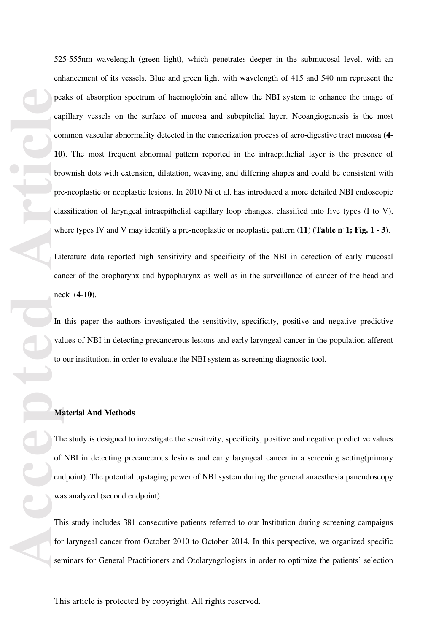per car contract of the pre car contract of the pre car contract of the pre car contract of the pre car contract of the present of the present of the present of the present of the present of the present of the present of t 525-555nm wavelength (green light), which penetrates deeper in the submucosal level, with an enhancement of its vessels. Blue and green light with wavelength of 415 and 540 nm represent the peaks of absorption spectrum of haemoglobin and allow the NBI system to enhance the image of capillary vessels on the surface of mucosa and subepitelial layer. Neoangiogenesis is the most common vascular abnormality detected in the cancerization process of aero-digestive tract mucosa (**4- 10**). The most frequent abnormal pattern reported in the intraepithelial layer is the presence of brownish dots with extension, dilatation, weaving, and differing shapes and could be consistent with pre-neoplastic or neoplastic lesions. In 2010 Ni et al. has introduced a more detailed NBI endoscopic classification of laryngeal intraepithelial capillary loop changes, classified into five types (I to V), where types IV and V may identify a pre-neoplastic or neoplastic pattern (**11** ) (**Table n°1; Fig. 1 - 3**).

Literature data reported high sensitivity and specificity of the NBI in detection of early mucosal cancer of the oropharynx and hypopharynx as well as in the surveillance of cancer of the head and neck (**4-10**).

In this paper the authors investigated the sensitivity, specificity, positive and negative predictive values of NBI in detecting precancerous lesions and early laryngeal cancer in the population afferent to our institution, in order to evaluate the NBI system as screening diagnostic tool.

### **Material And Methods**

The study is designed to investigate the sensitivity, specificity, positive and negative predictive values of NBI in detecting precancerous lesions and early laryngeal cancer in a screening setting(primary endpoint). The potential upstaging power of NBI system during the general anaesthesia panendoscopy was analyzed (second endpoint).

This study includes 381 consecutive patients referred to our Institution during screening campaigns for laryngeal cancer from October 2010 to October 2014. In this perspective, we organized specific seminars for General Practitioners and Otolaryngologists in order to optimize the patients' selection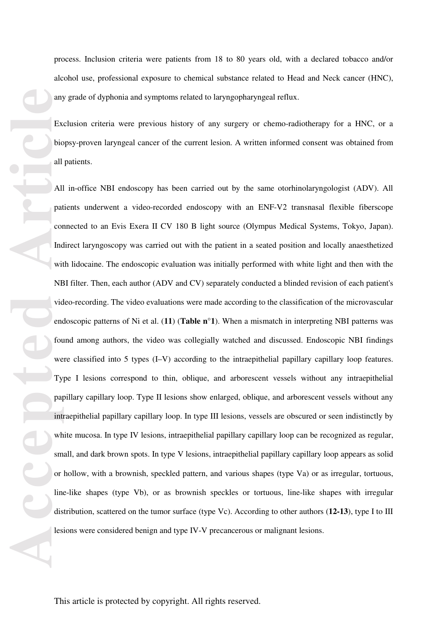process. Inclusion criteria were patients from 18 to 80 years old, with a declared tobacco and/or alcohol use, professional exposure to chemical substance related to Head and Neck cancer (HNC), any grade of dyphonia and symptoms related to laryngopharyngeal reflux.

Exclusion criteria were previous history of any surgery or chemo-radiotherapy for a HNC, or a biopsy-proven laryngeal cancer of the current lesion. A written informed consent was obtained from all patients.

any Exercise of Biography Contract Contract Contract Contract Contract Contract Contract Contract Contract Contract Contract Contract Contract Contract Contract Contract Contract Contract Contract Contract Contract Contrac All in-office NBI endoscopy has been carried out by the same otorhinolaryngologist (ADV). All patients underwent a video-recorded endoscopy with an ENF-V2 transnasal flexible fiberscope connected to an Evis Exera II CV 180 B light source (Olympus Medical Systems, Tokyo, Japan). Indirect laryngoscopy was carried out with the patient in a seated position and locally anaesthetized with lidocaine. The endoscopic evaluation was initially performed with white light and then with the NBI filter. Then, each author (ADV and CV) separately conducted a blinded revision of each patient's video-recording. The video evaluations were made according to the classification of the microvascular endoscopic patterns of Ni et al. (**11**) (**Table n°1**). When a mismatch in interpreting NBI patterns was found among authors, the video was collegially watched and discussed. Endoscopic NBI findings were classified into 5 types (I–V) according to the intraepithelial papillary capillary loop features. Type I lesions correspond to thin, oblique, and arborescent vessels without any intraepithelial papillary capillary loop. Type II lesions show enlarged, oblique, and arborescent vessels without any intraepithelial papillary capillary loop. In type III lesions, vessels are obscured or seen indistinctly by white mucosa. In type IV lesions, intraepithelial papillary capillary loop can be recognized as regular, small, and dark brown spots. In type V lesions, intraepithelial papillary capillary loop appears as solid or hollow, with a brownish, speckled pattern, and various shapes (type Va) or as irregular, tortuous, line-like shapes (type Vb), or as brownish speckles or tortuous, line-like shapes with irregular distribution, scattered on the tumor surface (type Vc). According to other authors (**12-13**), type I to III lesions were considered benign and type IV-V precancerous or malignant lesions.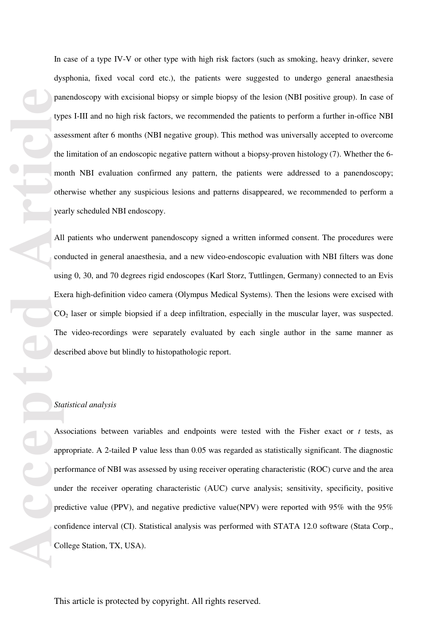In case of a type IV-V or other type with high risk factors (such as smoking, heavy drinker, severe dysphonia, fixed vocal cord etc.), the patients were suggested to undergo general anaesthesia panendoscopy with excisional biopsy or simple biopsy of the lesion (NBI positive group). In case of types I-III and no high risk factors, we recommended the patients to perform a further in-office NBI assessment after 6 months (NBI negative group). This method was universally accepted to overcome the limitation of an endoscopic negative pattern without a biopsy-proven histology (7). Whether the 6 month NBI evaluation confirmed any pattern, the patients were addressed to a panendoscopy; otherwise whether any suspicious lesions and patterns disappeared, we recommended to perform a yearly scheduled NBI endoscopy.

All patients who underwent panendoscopy signed a written informed consent. The procedures were conducted in general anaesthesia, and a new video-endoscopic evaluation with NBI filters was done using 0, 30, and 70 degrees rigid endoscopes (Karl Storz, Tuttlingen, Germany) connected to an Evis Exera high-definition video camera (Olympus Medical Systems). Then the lesions were excised with CO 2 laser or simple biopsied if a deep infiltration, especially in the muscular layer, was suspected. The video-recordings were separately evaluated by each single author in the same manner as described above but blindly to histopathologic report.

#### *Statistical analysis*

partype<br>
type<br>
ass<br>
the mooth<br>
year<br>
oth year<br>
All cor<br>
using Ex<br>
CC<br>
Th<br>
des<br>
As<br>
app<br>
per<br>
unc<br>
pre<br>
cor<br>
Co Associations between variables and endpoints were tested with the Fisher exact or *t* tests, as appropriate. A 2-tailed P value less than 0.05 was regarded as statistically significant. The diagnostic performance of NBI was assessed by using receiver operating characteristic (ROC) curve and the area under the receiver operating characteristic (AUC) curve analysis; sensitivity, specificity, positive predictive value (PPV), and negative predictive value(NPV) were reported with 95% with the 95% confidence interval (CI). Statistical analysis was performed with STATA 12.0 software (Stata Corp., College Station, TX, USA).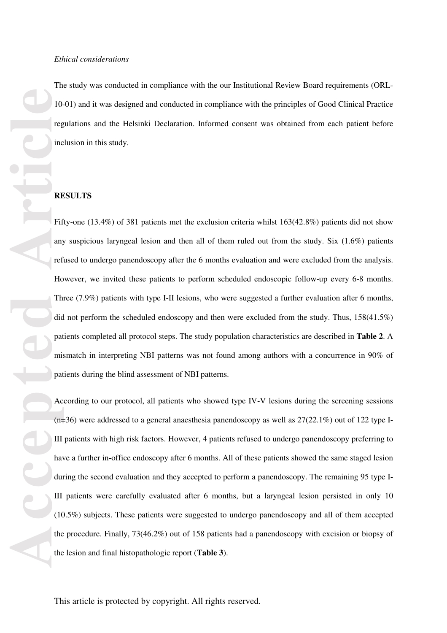The study was conducted in compliance with the our Institutional Review Board requirements (ORL-10-01) and it was designed and conducted in compliance with the principles of Good Clinical Practice regulations and the Helsinki Declaration. Informed consent was obtained from each patient before inclusion in this study.

### **RESULTS**

Form and the contract of the contract of the contract of the contract of the contract of the contract of the contract of the contract of the contract of the contract of the contract of the contract of the contract of the c Fifty-one (13.4%) of 381 patients met the exclusion criteria whilst 163(42.8%) patients did not show any suspicious laryngeal lesion and then all of them ruled out from the study. Six (1.6%) patients refused to undergo panendoscopy after the 6 months evaluation and were excluded from the analysis. However, we invited these patients to perform scheduled endoscopic follow-up every 6-8 months. Three (7.9%) patients with type I-II lesions, who were suggested a further evaluation after 6 months, did not perform the scheduled endoscopy and then were excluded from the study. Thus, 158(41.5%) patients completed all protocol steps. The study population characteristics are described in **Table 2**. A mismatch in interpreting NBI patterns was not found among authors with a concurrence in 90% of patients during the blind assessment of NBI patterns.

According to our protocol, all patients who showed type IV-V lesions during the screening sessions  $(n=36)$  were addressed to a general anaesthesia panendoscopy as well as  $27(22.1\%)$  out of 122 type I-III patients with high risk factors. However, 4 patients refused to undergo panendoscopy preferring to have a further in-office endoscopy after 6 months. All of these patients showed the same staged lesion during the second evaluation and they accepted to perform a panendoscopy. The remaining 95 type I-III patients were carefully evaluated after 6 months, but a laryngeal lesion persisted in only 10 (10.5%) subjects. These patients were suggested to undergo panendoscopy and all of them accepted the procedure. Finally, 73(46.2%) out of 158 patients had a panendoscopy with excision or biopsy of the lesion and final histopathologic report (**Table 3**).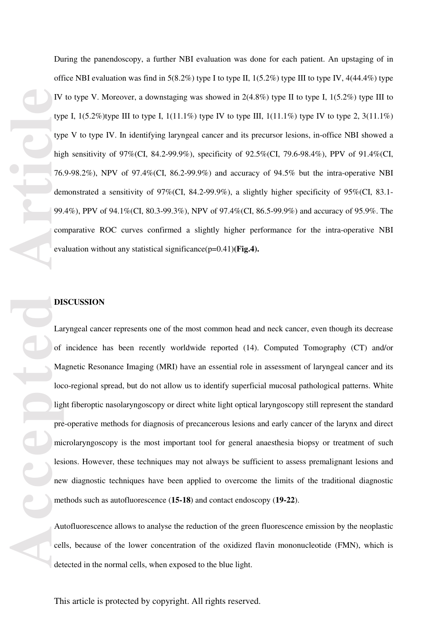**Accession**<br> **Article**<br> **Article**<br> **Article**<br> **Article**<br> **Article**<br> **Article**<br> **Article**<br> **Article**<br> **Article**<br> **Article**<br> **Article**<br> **Article**<br> **Article**<br> **Article**<br> **Article**<br> **Article**<br> **Article**<br> **Article**<br> **Article**<br>

During the panendoscopy, a further NBI evaluation was done for each patient. An upstaging of in office NBI evaluation was find in  $5(8.2\%)$  type I to type II,  $1(5.2\%)$  type III to type IV,  $4(44.4\%)$  type IV to type V. Moreover, a downstaging was showed in  $2(4.8\%)$  type II to type I,  $1(5.2\%)$  type III to type I,  $1(5.2\%)$ type III to type I,  $1(11.1\%)$  type IV to type III,  $1(11.1\%)$  type IV to type 2,  $3(11.1\%)$ type V to type IV. In identifying laryngeal cancer and its precursor lesions, in-office NBI showed a high sensitivity of 97%(CI, 84.2-99.9%), specificity of 92.5%(CI, 79.6-98.4%), PPV of 91.4%(CI, 76.9-98.2%), NPV of 97.4%(CI, 86.2-99.9%) and accuracy of 94.5% but the intra-operative NBI demonstrated a sensitivity of 97%(CI, 84.2-99.9%), a slightly higher specificity of 95%(CI, 83.1- 99.4%), PPV of 94.1%(CI, 80.3-99.3%), NPV of 97.4%(CI, 86.5-99.9%) and accuracy of 95.9%. The comparative ROC curves confirmed a slightly higher performance for the intra-operative NBI evaluation without any statistical significance(p=0.41)**(Fig.4).**

## **DISCUSSION**

Laryngeal cancer represents one of the most common head and neck cancer, even though its decrease of incidence has been recently worldwide reported (14). Computed Tomography (CT) and/or Magnetic Resonance Imaging (MRI) have an essential role in assessment of laryngeal cancer and its loco-regional spread, but do not allow us to identify superficial mucosal pathological patterns. White light fiberoptic nasolaryngoscopy or direct white light optical laryngoscopy still represent the standard pre-operative methods for diagnosis of precancerous lesions and early cancer of the larynx and direct microlaryngoscopy is the most important tool for general anaesthesia biopsy or treatment of such lesions. However, these techniques may not always be sufficient to assess premalignant lesions and new diagnostic techniques have been applied to overcome the limits of the traditional diagnostic methods such as autofluorescence (**15-18**) and contact endoscopy (**19-22**).

Autofluorescence allows to analyse the reduction of the green fluorescence emission by the neoplastic cells, because of the lower concentration of the oxidized flavin mononucleotide (FMN), which is detected in the normal cells, when exposed to the blue light.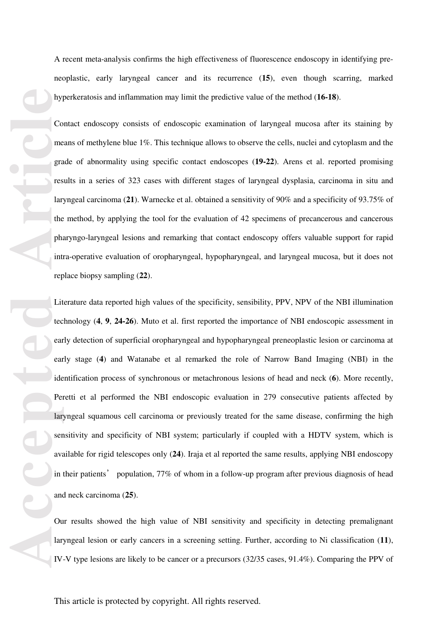A recent meta-analysis confirms the high effectiveness of fluorescence endoscopy in identifying preneoplastic, early laryngeal cancer and its recurrence (**15**), even though scarring, marked hyperkeratosis and inflammation may limit the predictive value of the method (**16-18**).

Contact endoscopy consists of endoscopic examination of laryngeal mucosa after its staining by means of methylene blue 1%. This technique allows to observe the cells, nuclei and cytoplasm and the grade of abnormality using specific contact endoscopes (**19-22**). Arens et al. reported promising results in a series of 323 cases with different stages of laryngeal dysplasia, carcinoma in situ and laryngeal carcinoma (**21**). Warnecke et al. obtained a sensitivity of 90% and a specificity of 93.75% of the method, by applying the tool for the evaluation of 42 specimens of precancerous and cancerous pharyngo-laryngeal lesions and remarking that contact endoscopy offers valuable support for rapid intra-operative evaluation of oropharyngeal, hypopharyngeal, and laryngeal mucosa, but it does not replace biopsy sampling (**22**).

**Accepted Article**<br> **Article**<br> **Article**<br> **Article**<br> **Article**<br> **Article**<br> **Article**<br> **Article**<br> **Article**<br> **Article**<br> **Article**<br> **Article**<br> **Article**<br> **Article**<br> **Article**<br> **Article**<br> **Article**<br> **Article**<br> **Article**<br> **A** Literature data reported high values of the specificity, sensibility, PPV, NPV of the NBI illumination technology ( **4**, **9**, **24-26**). Muto et al. first reported the importance of NBI endoscopic assessment in early detection of superficial oropharyngeal and hypopharyngeal preneoplastic lesion or carcinoma at early stage ( **4**) and Watanabe et al remarked the role of Narrow Band Imaging (NBI) in the identification process of synchronous or metachronous lesions of head and neck ( **6**). More recently, Peretti et al performed the NBI endoscopic evaluation in 279 consecutive patients affected by laryngeal squamous cell carcinoma or previously treated for the same disease, confirming the high sensitivity and specificity of NBI system; particularly if coupled with a HDTV system, which is available for rigid telescopes only (**24**). Iraja et al reported the same results, applying NBI endoscopy in their patients' population, 77% of whom in a follow-up program after previous diagnosis of head<br>and neck carcinoma (25). and neck carcinoma (**25**).

Our results showed the high value of NBI sensitivity and specificity in detecting premalignant laryngeal lesion or early cancers in a screening setting. Further, according to Ni classification (**11**), IV-V type lesions are likely to be cancer or a precursors (32/35 cases, 91.4%). Comparing the PPV of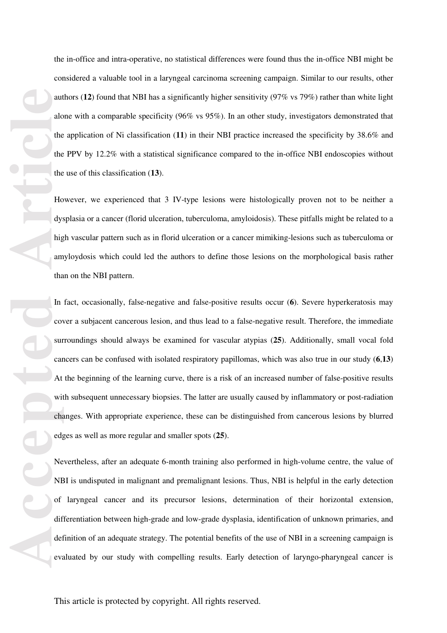aut alo<br>
the the the the the the the the dys<br>
ing am tha In Cov Sur Car<br>
car At with cha edg<br>
edg<br>
Ne NE of dif det eva the in-office and intra-operative, no statistical differences were found thus the in-office NBI might be considered a valuable tool in a laryngeal carcinoma screening campaign. Similar to our results, other authors (**12**) found that NBI has a significantly higher sensitivity (97% vs 79%) rather than white light alone with a comparable specificity (96% vs 95%). In an other study, investigators demonstrated that the application of Ni classification (**11**) in their NBI practice increased the specificity by 38.6% and the PPV by 12.2% with a statistical significance compared to the in-office NBI endoscopies without the use of this classification (**13**). However, we experienced that 3 IV-type lesions were histologically proven not to be neither a

dysplasia or a cancer (florid ulceration, tuberculoma, amyloidosis). These pitfalls might be related to a high vascular pattern such as in florid ulceration or a cancer mimiking-lesions such as tuberculoma or amyloydosis which could led the authors to define those lesions on the morphological basis rather than on the NBI pattern.

In fact, occasionally, false-negative and false-positive results occur ( **6**). Severe hyperkeratosis may cover a subjacent cancerous lesion, and thus lead to a false-negative result. Therefore, the immediate surroundings should always be examined for vascular atypias (**25**). Additionally, small vocal fold cancers can be confused with isolated respiratory papillomas, which was also true in our study ( **6** ,**13**) At the beginning of the learning curve, there is a risk of an increased number of false-positive results with subsequent unnecessary biopsies. The latter are usually caused by inflammatory or post-radiation changes. With appropriate experience, these can be distinguished from cancerous lesions by blurred edges as well as more regular and smaller spots (**25**).

Nevertheless, after an adequate 6-month training also performed in high-volume centre, the value of NBI is undisputed in malignant and premalignant lesions. Thus, NBI is helpful in the early detection of laryngeal cancer and its precursor lesions, determination of their horizontal extension, differentiation between high-grade and low-grade dysplasia, identification of unknown primaries, and definition of an adequate strategy. The potential benefits of the use of NBI in a screening campaign is evaluated by our study with compelling results. Early detection of laryngo-pharyngeal cancer is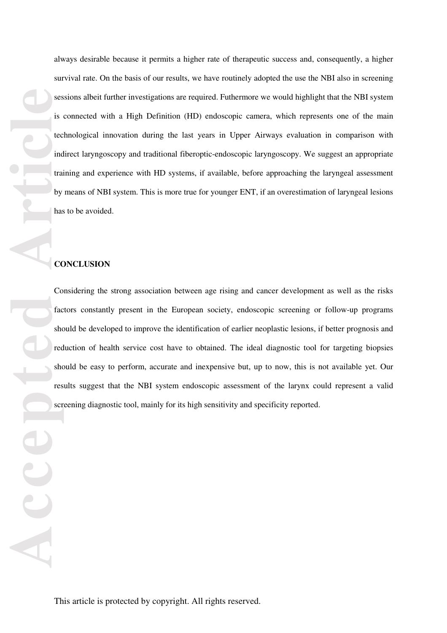**Accession**<br> **Accession**<br> **Accession**<br> **Accession**<br> **Accession**<br> **Accession**<br> **Accession**<br> **Accession**<br> **Accession**<br> **Accession**<br> **Accession**<br> **Accession** always desirable because it permits a higher rate of therapeutic success and, consequently, a higher survival rate. On the basis of our results, we have routinely adopted the use the NBI also in screening sessions albeit further investigations are required. Futhermore we would highlight that the NBI system is connected with a High Definition (HD) endoscopic camera, which represents one of the main technological innovation during the last years in Upper Airways evaluation in comparison with indirect laryngoscopy and traditional fiberoptic-endoscopic laryngoscopy. We suggest an appropriate training and experience with HD systems, if available, before approaching the laryngeal assessment by means of NBI system. This is more true for younger ENT, if an overestimation of laryngeal lesions has to be avoided.

## **CONCLUSION**

AC

Considering the strong association between age rising and cancer development as well as the risks factors constantly present in the European society, endoscopic screening or follow-up programs should be developed to improve the identification of earlier neoplastic lesions, if better prognosis and reduction of health service cost have to obtained. The ideal diagnostic tool for targeting biopsies should be easy to perform, accurate and inexpensive but, up to now, this is not available yet. Our results suggest that the NBI system endoscopic assessment of the larynx could represent a valid screening diagnostic tool, mainly for its high sensitivity and specificity reported.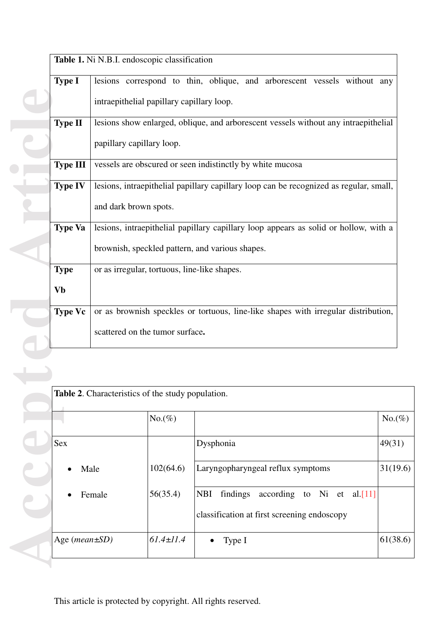|                 | Table 1. Ni N.B.I. endoscopic classification                                                                     |                 |                                                                                                                                         |         |  |  |  |  |  |
|-----------------|------------------------------------------------------------------------------------------------------------------|-----------------|-----------------------------------------------------------------------------------------------------------------------------------------|---------|--|--|--|--|--|
| <b>Type I</b>   | intraepithelial papillary capillary loop.                                                                        |                 | lesions correspond to thin, oblique, and arborescent vessels without any                                                                |         |  |  |  |  |  |
| <b>Type II</b>  | lesions show enlarged, oblique, and arborescent vessels without any intraepithelial<br>papillary capillary loop. |                 |                                                                                                                                         |         |  |  |  |  |  |
| <b>Type III</b> |                                                                                                                  |                 | vessels are obscured or seen indistinctly by white mucosa                                                                               |         |  |  |  |  |  |
| <b>Type IV</b>  | and dark brown spots.                                                                                            |                 | lesions, intraepithelial papillary capillary loop can be recognized as regular, small,                                                  |         |  |  |  |  |  |
| <b>Type Va</b>  |                                                                                                                  |                 | lesions, intraepithelial papillary capillary loop appears as solid or hollow, with a<br>brownish, speckled pattern, and various shapes. |         |  |  |  |  |  |
| <b>Type</b>     | or as irregular, tortuous, line-like shapes.                                                                     |                 |                                                                                                                                         |         |  |  |  |  |  |
| <b>Vb</b>       |                                                                                                                  |                 |                                                                                                                                         |         |  |  |  |  |  |
| <b>Type Vc</b>  | or as brownish speckles or tortuous, line-like shapes with irregular distribution,                               |                 |                                                                                                                                         |         |  |  |  |  |  |
|                 | scattered on the tumor surface.                                                                                  |                 |                                                                                                                                         |         |  |  |  |  |  |
|                 |                                                                                                                  |                 |                                                                                                                                         |         |  |  |  |  |  |
|                 | Table 2. Characteristics of the study population.                                                                |                 |                                                                                                                                         |         |  |  |  |  |  |
|                 |                                                                                                                  | $No.(\%)$       |                                                                                                                                         | $No.$ ( |  |  |  |  |  |
| <b>Sex</b>      | Male                                                                                                             |                 | Dysphonia                                                                                                                               | 49(31   |  |  |  |  |  |
|                 |                                                                                                                  |                 | Laryngopharyngeal reflux symptoms                                                                                                       |         |  |  |  |  |  |
|                 | Female                                                                                                           | 56(35.4)        | findings<br>according to Ni et<br><b>NBI</b><br>al $[11]$<br>classification at first screening endoscopy                                |         |  |  |  |  |  |
| Age (mean±SD)   |                                                                                                                  | $61.4 \pm 11.4$ | Type I                                                                                                                                  | 61(38)  |  |  |  |  |  |

| <b>Table 2.</b> Characteristics of the study population. |                 |                                                      |           |  |  |
|----------------------------------------------------------|-----------------|------------------------------------------------------|-----------|--|--|
|                                                          | $No.(\%)$       |                                                      | $No.(\%)$ |  |  |
| <b>Sex</b>                                               |                 | Dysphonia                                            | 49(31)    |  |  |
| Male<br>$\bullet$                                        | 102(64.6)       | Laryngopharyngeal reflux symptoms                    | 31(19.6)  |  |  |
| Female                                                   | 56(35.4)        | <b>NBI</b><br>findings<br>according to Ni et al.[11] |           |  |  |
|                                                          |                 | classification at first screening endoscopy          |           |  |  |
| Age ( $mean \pm SD$ )                                    | $61.4 \pm 11.4$ | Type I<br>$\bullet$                                  | 61(38.6)  |  |  |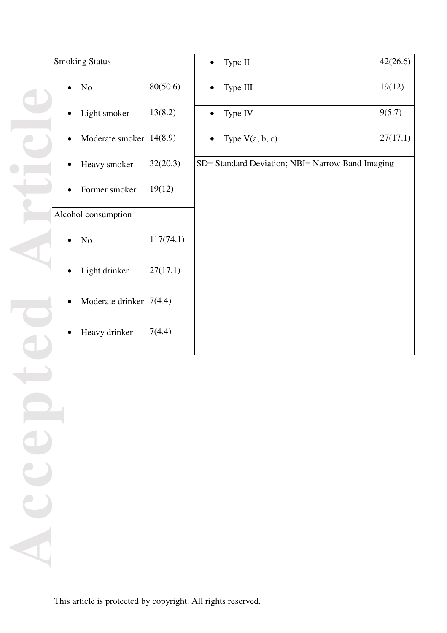| <b>Smoking Status</b> |           | Type II                                          | 42(26.6) |  |  |  |
|-----------------------|-----------|--------------------------------------------------|----------|--|--|--|
| N <sub>0</sub>        | 80(50.6)  | Type III                                         | 19(12)   |  |  |  |
| Light smoker          | 13(8.2)   | Type IV                                          | 9(5.7)   |  |  |  |
| Moderate smoker       | 14(8.9)   | Type $V(a, b, c)$                                | 27(17.1) |  |  |  |
| Heavy smoker          | 32(20.3)  | SD= Standard Deviation; NBI= Narrow Band Imaging |          |  |  |  |
| Former smoker         | 19(12)    |                                                  |          |  |  |  |
| Alcohol consumption   |           |                                                  |          |  |  |  |
| No                    | 117(74.1) |                                                  |          |  |  |  |
| Light drinker         | 27(17.1)  |                                                  |          |  |  |  |
| Moderate drinker      | 7(4.4)    |                                                  |          |  |  |  |
| Heavy drinker         | 7(4.4)    |                                                  |          |  |  |  |

**Accepted Article**  $\bullet$  . The set of  $\bullet$ ICe Acce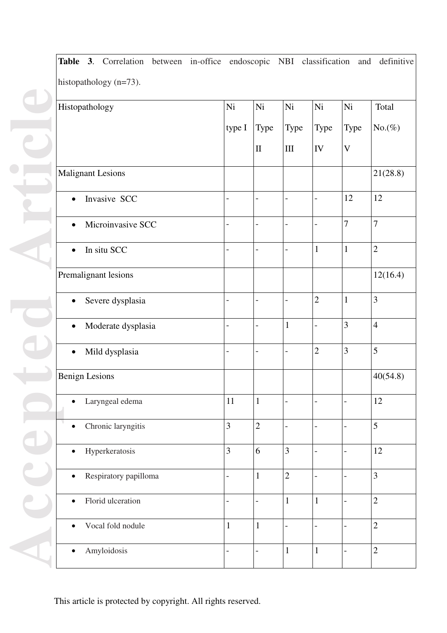| Histopathology                     | Ni                       | Ni                       | Ni                       | Ni                       | Ni                        | Total          |
|------------------------------------|--------------------------|--------------------------|--------------------------|--------------------------|---------------------------|----------------|
|                                    | type I                   | Type                     | Type                     | Type                     | Type                      | $No.(\%)$      |
|                                    |                          | $\rm II$                 | $\rm III$                | IV                       | $\ensuremath{\mathbf{V}}$ |                |
| <b>Malignant Lesions</b>           |                          |                          |                          |                          |                           | 21(28.8)       |
| Invasive SCC<br>$\bullet$          |                          | $\overline{\phantom{0}}$ | $\overline{\phantom{a}}$ | $\overline{a}$           | 12                        | $12\,$         |
| Microinvasive SCC<br>$\bullet$     | $\overline{\phantom{0}}$ |                          | $\overline{\phantom{0}}$ | $\overline{a}$           | $\overline{7}$            | $\overline{7}$ |
| In situ SCC<br>$\bullet$           | $\overline{\phantom{0}}$ | $\qquad \qquad -$        | $\overline{\phantom{a}}$ | $\mathbf{1}$             | $\mathbf{1}$              | $\mathbf{2}$   |
| Premalignant lesions               |                          |                          |                          |                          |                           | 12(16.4)       |
| Severe dysplasia<br>$\bullet$      |                          | $\overline{a}$           | $\overline{a}$           | $\overline{2}$           | $\mathbf{1}$              | 3              |
| Moderate dysplasia<br>$\bullet$    | $\overline{\phantom{0}}$ | $\overline{a}$           | $\mathbf{1}$             | $\overline{\phantom{0}}$ | 3                         | $\overline{4}$ |
| Mild dysplasia<br>$\bullet$        | $\qquad \qquad -$        |                          | $\overline{\phantom{0}}$ | $\overline{2}$           | 3                         | 5              |
| <b>Benign Lesions</b>              |                          |                          |                          |                          |                           | 40(54.8)       |
| Laryngeal edema                    | 11                       | $\mathbf{1}$             |                          |                          | -                         | 12             |
| Chronic laryngitis<br>$\bullet$    | 3                        | $\overline{2}$           | $\frac{1}{2}$            | $\overline{a}$           | $\overline{a}$            | 5              |
| Hyperkeratosis<br>$\bullet$        | 3                        | 6                        | 3                        | $\overline{a}$           | $\overline{\phantom{0}}$  | 12             |
| Respiratory papilloma<br>$\bullet$ | $\overline{\phantom{a}}$ | $\mathbf{1}$             | $\overline{2}$           | $\overline{a}$           | $\overline{a}$            | 3              |
| Florid ulceration<br>$\bullet$     | $\overline{\phantom{0}}$ | $\overline{\phantom{0}}$ | $\mathbf{1}$             | $\mathbf{1}$             | $\overline{\phantom{0}}$  | $\overline{2}$ |
| Vocal fold nodule<br>$\bullet$     | $\mathbf{1}$             | $\mathbf{1}$             | $\overline{\phantom{0}}$ | $\overline{a}$           |                           | $\sqrt{2}$     |
| Amyloidosis<br>$\bullet$           | $\overline{\phantom{a}}$ | $\overline{\phantom{0}}$ | $\mathbf{1}$             | $\mathbf{1}$             | -                         | $\sqrt{2}$     |

**Table 3**. Correlation between in-office endoscopic NBI classification and definitive

This article is protected by copyright. All rights reserved.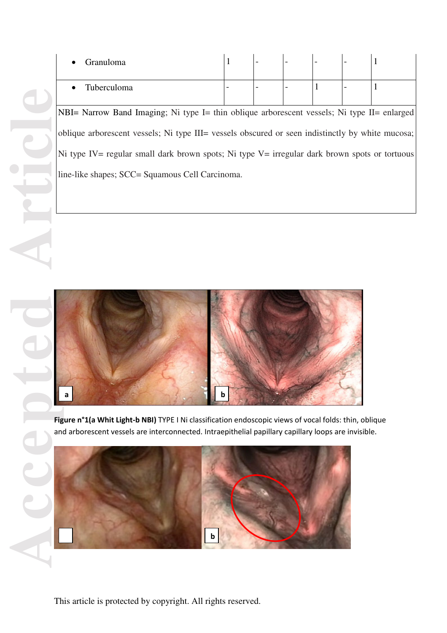This article is protected by copyright. All rights reserved.<br>
This article is protected by copyright. All rights reserved.<br>
This article is protected by copyright. All rights reserved.<br>
This article is protected by copyrig NBI= Narrow Band Imaging; Ni type I= thin oblique arborescent vessels; Ni type II= enlarged oblique arborescent vessels; Ni type III= vessels obscured or seen indistinctly by white mucosa; Ni type IV= regular small dark brown spots; Ni type V= irregular dark brown spots or tortuous line-like shapes; SCC= Squamous Cell Carcinoma.



**Figure n°1(a Whit Light-b NBI)** TYPE I Ni classification endoscopic views of vocal folds: thin, oblique and arborescent vessels are interconnected. Intraepithelial papillary capillary loops are invisible.